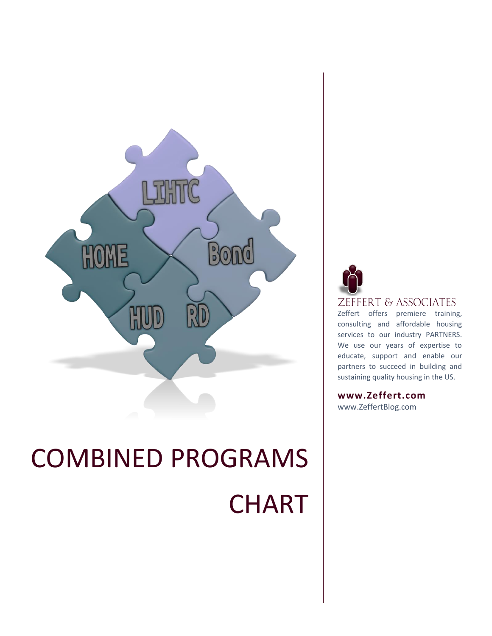

# COMBINED PROGRAMS **CHART**



ZEFFERT & ASSOCIATES

Zeffert offers premiere training, consulting and affordable housing services to our industry PARTNERS. We use our years of expertise to educate, support and enable our partners to succeed in building and sustaining quality housing in the US.

**www.Zeffert.com**

www.ZeffertBlog.com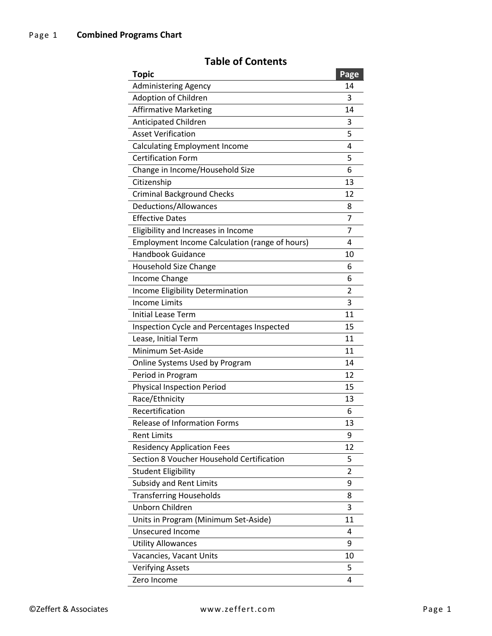#### **Topic Page** Administering Agency 14 Adoption of Children 3 Affirmative Marketing 14 Anticipated Children 3 Asset Verification 5 Calculating Employment Income 4 Certification Form 5 Change in Income/Household Size 6 Citizenship 13 Criminal Background Checks 12 Deductions/Allowances 8 Effective Dates 7 Eligibility and Increases in Income 7 Employment Income Calculation (range of hours) 4 Handbook Guidance 10 Household Size Change 6 Income Change 6 Income Eligibility Determination 2 Income Limits 3 Initial Lease Term 11 Inspection Cycle and Percentages Inspected 15 Lease, Initial Term 11 Minimum Set-Aside 11 Online Systems Used by Program 14 Period in Program 12 Physical Inspection Period 15 Race/Ethnicity 13 Recertification 6 Release of Information Forms 13 Rent Limits 9 Residency Application Fees 12 Section 8 Voucher Household Certification 5 Student Eligibility 2 Subsidy and Rent Limits 9 Transferring Households 8 Unborn Children 3 Units in Program (Minimum Set-Aside) 11 Unsecured Income 4 Utility Allowances 9 Vacancies, Vacant Units 10 Verifying Assets 5 Zero Income 4

#### **Table of Contents**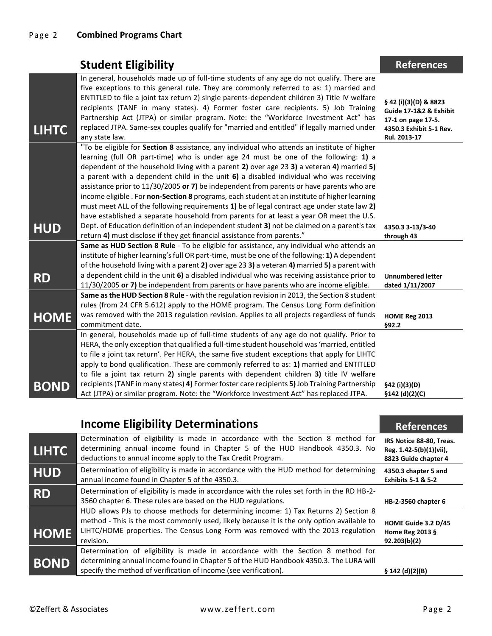|              | <b>Student Eligibility</b>                                                                                                                                                                                                                                                                                                                                                                                                                                                                                                                                                                                                                                                                                                                                                                                                                                                                                                               | <b>References</b>                                                                                                |
|--------------|------------------------------------------------------------------------------------------------------------------------------------------------------------------------------------------------------------------------------------------------------------------------------------------------------------------------------------------------------------------------------------------------------------------------------------------------------------------------------------------------------------------------------------------------------------------------------------------------------------------------------------------------------------------------------------------------------------------------------------------------------------------------------------------------------------------------------------------------------------------------------------------------------------------------------------------|------------------------------------------------------------------------------------------------------------------|
| <b>LIHTC</b> | In general, households made up of full-time students of any age do not qualify. There are<br>five exceptions to this general rule. They are commonly referred to as: 1) married and<br>ENTITLED to file a joint tax return 2) single parents-dependent children 3) Title IV welfare<br>recipients (TANF in many states). 4) Former foster care recipients. 5) Job Training<br>Partnership Act (JTPA) or similar program. Note: the "Workforce Investment Act" has<br>replaced JTPA. Same-sex couples qualify for "married and entitled" if legally married under<br>any state law.                                                                                                                                                                                                                                                                                                                                                       | § 42 (i)(3)(D) & 8823<br>Guide 17-1&2 & Exhibit<br>17-1 on page 17-5.<br>4350.3 Exhibit 5-1 Rev.<br>Rul. 2013-17 |
| <b>HUD</b>   | "To be eligible for Section 8 assistance, any individual who attends an institute of higher<br>learning (full OR part-time) who is under age 24 must be one of the following: 1) a<br>dependent of the household living with a parent 2) over age 23 3) a veteran 4) married 5)<br>a parent with a dependent child in the unit 6) a disabled individual who was receiving<br>assistance prior to 11/30/2005 or 7) be independent from parents or have parents who are<br>income eligible. For non-Section 8 programs, each student at an institute of higher learning<br>must meet ALL of the following requirements 1) be of legal contract age under state law 2)<br>have established a separate household from parents for at least a year OR meet the U.S.<br>Dept. of Education definition of an independent student 3) not be claimed on a parent's tax<br>return 4) must disclose if they get financial assistance from parents." | 4350.3 3-13/3-40<br>through 43                                                                                   |
| <b>RD</b>    | Same as HUD Section 8 Rule - To be eligible for assistance, any individual who attends an<br>institute of higher learning's full OR part-time, must be one of the following: 1) A dependent<br>of the household living with a parent 2) over age 23 3) a veteran 4) married 5) a parent with<br>a dependent child in the unit 6) a disabled individual who was receiving assistance prior to<br>11/30/2005 or 7) be independent from parents or have parents who are income eligible.                                                                                                                                                                                                                                                                                                                                                                                                                                                    | <b>Unnumbered letter</b><br>dated 1/11/2007                                                                      |
| <b>HOME</b>  | Same as the HUD Section 8 Rule - with the regulation revision in 2013, the Section 8 student<br>rules (from 24 CFR 5.612) apply to the HOME program. The Census Long Form definition<br>was removed with the 2013 regulation revision. Applies to all projects regardless of funds<br>commitment date.                                                                                                                                                                                                                                                                                                                                                                                                                                                                                                                                                                                                                                   | HOME Reg 2013<br>§92.2                                                                                           |
| <b>BOND</b>  | In general, households made up of full-time students of any age do not qualify. Prior to<br>HERA, the only exception that qualified a full-time student household was 'married, entitled<br>to file a joint tax return'. Per HERA, the same five student exceptions that apply for LIHTC<br>apply to bond qualification. These are commonly referred to as: 1) married and ENTITLED<br>to file a joint tax return 2) single parents with dependent children 3) title IV welfare<br>recipients (TANF in many states) 4) Former foster care recipients 5) Job Training Partnership<br>Act (JTPA) or similar program. Note: the "Workforce Investment Act" has replaced JTPA.                                                                                                                                                                                                                                                               | §42 (i)(3)(D)<br>§142 (d)(2)(C)                                                                                  |

|              | <b>Income Eligibility Determinations</b>                                                                                                                                                                                                                                            | <b>References</b>                                                           |
|--------------|-------------------------------------------------------------------------------------------------------------------------------------------------------------------------------------------------------------------------------------------------------------------------------------|-----------------------------------------------------------------------------|
| <b>LIHTC</b> | Determination of eligibility is made in accordance with the Section 8 method for<br>determining annual income found in Chapter 5 of the HUD Handbook 4350.3. No<br>deductions to annual income apply to the Tax Credit Program.                                                     | IRS Notice 88-80, Treas.<br>Reg. 1.42-5(b)(1)(vii),<br>8823 Guide chapter 4 |
| <b>HUD</b>   | Determination of eligibility is made in accordance with the HUD method for determining<br>annual income found in Chapter 5 of the 4350.3.                                                                                                                                           | 4350.3 chapter 5 and<br><b>Exhibits 5-1 &amp; 5-2</b>                       |
| <b>RD</b>    | Determination of eligibility is made in accordance with the rules set forth in the RD HB-2-<br>3560 chapter 6. These rules are based on the HUD regulations.                                                                                                                        | HB-2-3560 chapter 6                                                         |
| <b>HOME</b>  | HUD allows PJs to choose methods for determining income: 1) Tax Returns 2) Section 8<br>method - This is the most commonly used, likely because it is the only option available to<br>LIHTC/HOME properties. The Census Long Form was removed with the 2013 regulation<br>revision. | HOME Guide 3.2 D/45<br>Home Reg 2013 §<br>92.203(b)(2)                      |
| <b>BOND</b>  | Determination of eligibility is made in accordance with the Section 8 method for<br>determining annual income found in Chapter 5 of the HUD Handbook 4350.3. The LURA will<br>specify the method of verification of income (see verification).                                      | § 142(d)(2)(B)                                                              |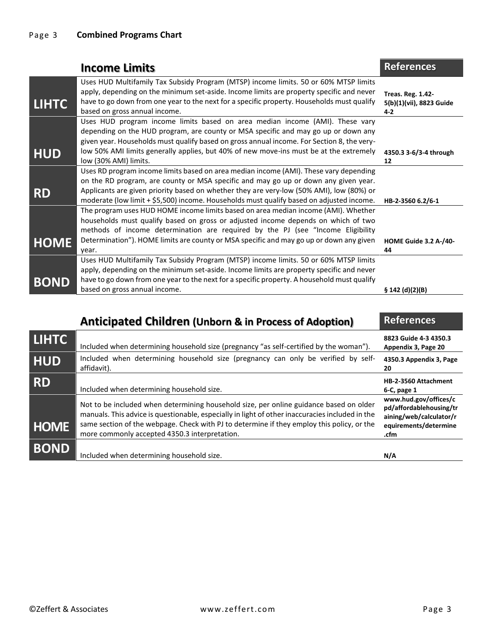|              | <b>Income Limits</b>                                                                                                                                                                                                                                                                                                                                                                | <b>References</b>                                             |
|--------------|-------------------------------------------------------------------------------------------------------------------------------------------------------------------------------------------------------------------------------------------------------------------------------------------------------------------------------------------------------------------------------------|---------------------------------------------------------------|
| <b>LIHTC</b> | Uses HUD Multifamily Tax Subsidy Program (MTSP) income limits. 50 or 60% MTSP limits<br>apply, depending on the minimum set-aside. Income limits are property specific and never<br>have to go down from one year to the next for a specific property. Households must qualify<br>based on gross annual income.                                                                     | <b>Treas. Reg. 1.42-</b><br>5(b)(1)(vii), 8823 Guide<br>$4-2$ |
| <b>HUD</b>   | Uses HUD program income limits based on area median income (AMI). These vary<br>depending on the HUD program, are county or MSA specific and may go up or down any<br>given year. Households must qualify based on gross annual income. For Section 8, the very-<br>low 50% AMI limits generally applies, but 40% of new move-ins must be at the extremely<br>low (30% AMI) limits. | 4350.3 3-6/3-4 through<br>12                                  |
| <b>RD</b>    | Uses RD program income limits based on area median income (AMI). These vary depending<br>on the RD program, are county or MSA specific and may go up or down any given year.<br>Applicants are given priority based on whether they are very-low (50% AMI), low (80%) or<br>moderate (low limit + \$5,500) income. Households must qualify based on adjusted income.                | HB-2-3560 6.2/6-1                                             |
| <b>HOME</b>  | The program uses HUD HOME income limits based on area median income (AMI). Whether<br>households must qualify based on gross or adjusted income depends on which of two<br>methods of income determination are required by the PJ (see "Income Eligibility<br>Determination"). HOME limits are county or MSA specific and may go up or down any given<br>vear.                      | <b>HOME Guide 3.2 A-/40-</b><br>44                            |
| <b>BOND</b>  | Uses HUD Multifamily Tax Subsidy Program (MTSP) income limits. 50 or 60% MTSP limits<br>apply, depending on the minimum set-aside. Income limits are property specific and never<br>have to go down from one year to the next for a specific property. A household must qualify<br>based on gross annual income.                                                                    | \$142(d)(2)(B)                                                |

|              | <b>Anticipated Children (Unborn &amp; in Process of Adoption)</b>                                                                                                                                                                                                                                                                        | <b>References</b>                                                                                            |
|--------------|------------------------------------------------------------------------------------------------------------------------------------------------------------------------------------------------------------------------------------------------------------------------------------------------------------------------------------------|--------------------------------------------------------------------------------------------------------------|
| <b>LIHTC</b> | Included when determining household size (pregnancy "as self-certified by the woman").                                                                                                                                                                                                                                                   | 8823 Guide 4-3 4350.3<br>Appendix 3, Page 20                                                                 |
| <b>HUD</b>   | Included when determining household size (pregnancy can only be verified by self-<br>affidavit).                                                                                                                                                                                                                                         | 4350.3 Appendix 3, Page<br>20                                                                                |
| <b>RD</b>    | Included when determining household size.                                                                                                                                                                                                                                                                                                | HB-2-3560 Attachment<br>$6-C$ , page 1                                                                       |
| <b>HOME</b>  | Not to be included when determining household size, per online guidance based on older<br>manuals. This advice is questionable, especially in light of other inaccuracies included in the<br>same section of the webpage. Check with PJ to determine if they employ this policy, or the<br>more commonly accepted 4350.3 interpretation. | www.hud.gov/offices/c<br>pd/affordablehousing/tr<br>aining/web/calculator/r<br>equirements/determine<br>.cfm |
| <b>BOND</b>  | Included when determining household size.                                                                                                                                                                                                                                                                                                | N/A                                                                                                          |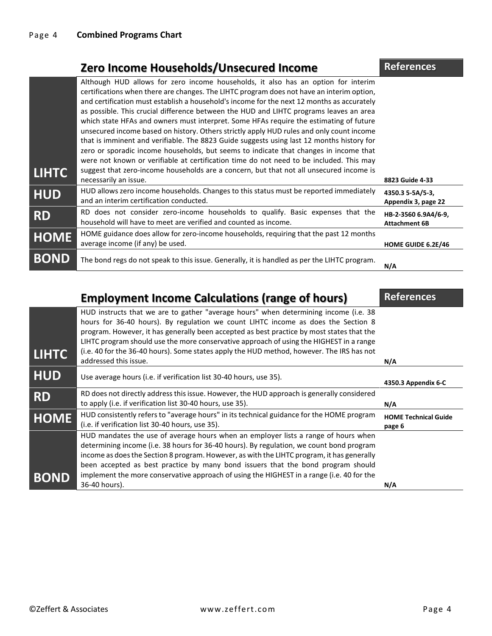### **Zero Income Households/Unsecured Income References**

| <b>LIHTC</b> | Although HUD allows for zero income households, it also has an option for interim<br>certifications when there are changes. The LIHTC program does not have an interim option,<br>and certification must establish a household's income for the next 12 months as accurately<br>as possible. This crucial difference between the HUD and LIHTC programs leaves an area<br>which state HFAs and owners must interpret. Some HFAs require the estimating of future<br>unsecured income based on history. Others strictly apply HUD rules and only count income<br>that is imminent and verifiable. The 8823 Guide suggests using last 12 months history for<br>zero or sporadic income households, but seems to indicate that changes in income that<br>were not known or verifiable at certification time do not need to be included. This may<br>suggest that zero-income households are a concern, but that not all unsecured income is |                                              |
|--------------|------------------------------------------------------------------------------------------------------------------------------------------------------------------------------------------------------------------------------------------------------------------------------------------------------------------------------------------------------------------------------------------------------------------------------------------------------------------------------------------------------------------------------------------------------------------------------------------------------------------------------------------------------------------------------------------------------------------------------------------------------------------------------------------------------------------------------------------------------------------------------------------------------------------------------------------|----------------------------------------------|
|              | necessarily an issue.                                                                                                                                                                                                                                                                                                                                                                                                                                                                                                                                                                                                                                                                                                                                                                                                                                                                                                                    | 8823 Guide 4-33                              |
| <b>HUD</b>   | HUD allows zero income households. Changes to this status must be reported immediately<br>and an interim certification conducted.                                                                                                                                                                                                                                                                                                                                                                                                                                                                                                                                                                                                                                                                                                                                                                                                        | 4350.3 5-5A/5-3,<br>Appendix 3, page 22      |
| <b>RD</b>    | RD does not consider zero-income households to qualify. Basic expenses that the<br>household will have to meet are verified and counted as income.                                                                                                                                                                                                                                                                                                                                                                                                                                                                                                                                                                                                                                                                                                                                                                                       | HB-2-3560 6.9A4/6-9,<br><b>Attachment 6B</b> |
| <b>HOME</b>  | HOME guidance does allow for zero-income households, requiring that the past 12 months<br>average income (if any) be used.                                                                                                                                                                                                                                                                                                                                                                                                                                                                                                                                                                                                                                                                                                                                                                                                               | HOME GUIDE 6.2E/46                           |
| <b>BOND</b>  | The bond regs do not speak to this issue. Generally, it is handled as per the LIHTC program.                                                                                                                                                                                                                                                                                                                                                                                                                                                                                                                                                                                                                                                                                                                                                                                                                                             | N/A                                          |

|              | <b>Employment Income Calculations (range of hours)</b>                                                                                                                                                                                                                                                                                                                                                                                                         | <b>References</b>                     |
|--------------|----------------------------------------------------------------------------------------------------------------------------------------------------------------------------------------------------------------------------------------------------------------------------------------------------------------------------------------------------------------------------------------------------------------------------------------------------------------|---------------------------------------|
| <b>LIHTC</b> | HUD instructs that we are to gather "average hours" when determining income (i.e. 38<br>hours for 36-40 hours). By regulation we count LIHTC income as does the Section 8<br>program. However, it has generally been accepted as best practice by most states that the<br>LIHTC program should use the more conservative approach of using the HIGHEST in a range<br>(i.e. 40 for the 36-40 hours). Some states apply the HUD method, however. The IRS has not |                                       |
|              | addressed this issue.                                                                                                                                                                                                                                                                                                                                                                                                                                          | N/A                                   |
| <b>HUD</b>   | Use average hours (i.e. if verification list 30-40 hours, use 35).                                                                                                                                                                                                                                                                                                                                                                                             | 4350.3 Appendix 6-C                   |
| <b>RD</b>    | RD does not directly address this issue. However, the HUD approach is generally considered<br>to apply (i.e. if verification list 30-40 hours, use 35).                                                                                                                                                                                                                                                                                                        | N/A                                   |
| <b>HOME</b>  | HUD consistently refers to "average hours" in its technical guidance for the HOME program<br>(i.e. if verification list 30-40 hours, use 35).                                                                                                                                                                                                                                                                                                                  | <b>HOME Technical Guide</b><br>page 6 |
| <b>BOND</b>  | HUD mandates the use of average hours when an employer lists a range of hours when<br>determining income (i.e. 38 hours for 36-40 hours). By regulation, we count bond program<br>income as does the Section 8 program. However, as with the LIHTC program, it has generally<br>been accepted as best practice by many bond issuers that the bond program should<br>implement the more conservative approach of using the HIGHEST in a range (i.e. 40 for the  |                                       |
|              | 36-40 hours).                                                                                                                                                                                                                                                                                                                                                                                                                                                  | N/A                                   |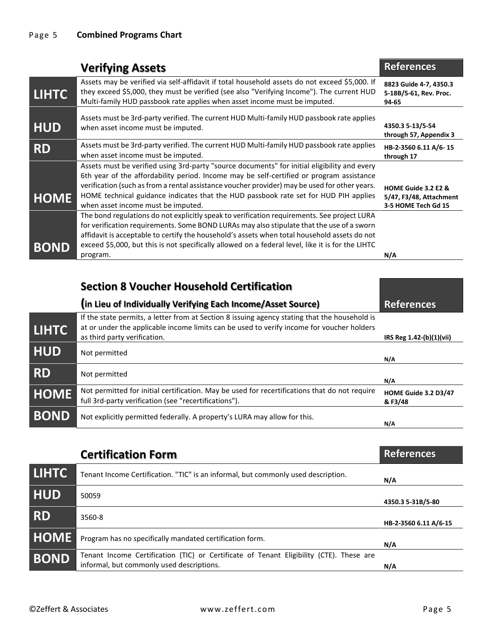|              | <b>Verifying Assets</b>                                                                                                                                                                                                                                                                                                                                                                                                 | <b>References</b>                                                     |
|--------------|-------------------------------------------------------------------------------------------------------------------------------------------------------------------------------------------------------------------------------------------------------------------------------------------------------------------------------------------------------------------------------------------------------------------------|-----------------------------------------------------------------------|
| <b>LIHTC</b> | Assets may be verified via self-affidavit if total household assets do not exceed \$5,000. If<br>they exceed \$5,000, they must be verified (see also "Verifying Income"). The current HUD<br>Multi-family HUD passbook rate applies when asset income must be imputed.                                                                                                                                                 | 8823 Guide 4-7, 4350.3<br>5-18B/5-61, Rev. Proc.<br>94-65             |
| <b>HUD</b>   | Assets must be 3rd-party verified. The current HUD Multi-family HUD passbook rate applies<br>when asset income must be imputed.                                                                                                                                                                                                                                                                                         | 4350.3 5-13/5-54<br>through 57, Appendix 3                            |
| <b>RD</b>    | Assets must be 3rd-party verified. The current HUD Multi-family HUD passbook rate applies<br>when asset income must be imputed.                                                                                                                                                                                                                                                                                         | HB-2-3560 6.11 A/6-15<br>through 17                                   |
| <b>HOME</b>  | Assets must be verified using 3rd-party "source documents" for initial eligibility and every<br>6th year of the affordability period. Income may be self-certified or program assistance<br>verification (such as from a rental assistance voucher provider) may be used for other years.<br>HOME technical guidance indicates that the HUD passbook rate set for HUD PIH applies<br>when asset income must be imputed. | HOME Guide 3.2 E2 &<br>5/47, F3/48, Attachment<br>3-5 HOME Tech Gd 15 |
| <b>BOND</b>  | The bond regulations do not explicitly speak to verification requirements. See project LURA<br>for verification requirements. Some BOND LURAs may also stipulate that the use of a sworn<br>affidavit is acceptable to certify the household's assets when total household assets do not<br>exceed \$5,000, but this is not specifically allowed on a federal level, like it is for the LIHTC<br>program.               | N/A                                                                   |

|              | <b>Section 8 Voucher Household Certification</b>                                                                                                                                                                           |                                |
|--------------|----------------------------------------------------------------------------------------------------------------------------------------------------------------------------------------------------------------------------|--------------------------------|
|              | (in Lieu of Individually Verifying Each Income/Asset Source)                                                                                                                                                               | <b>References</b>              |
| <b>LIHTC</b> | If the state permits, a letter from at Section 8 issuing agency stating that the household is<br>at or under the applicable income limits can be used to verify income for voucher holders<br>as third party verification. | IRS Reg 1.42-(b)(1)(vii)       |
| <b>HUD</b>   | Not permitted                                                                                                                                                                                                              | N/A                            |
| <b>RD</b>    | Not permitted                                                                                                                                                                                                              | N/A                            |
| <b>HOME</b>  | Not permitted for initial certification. May be used for recertifications that do not require<br>full 3rd-party verification (see "recertifications").                                                                     | HOME Guide 3.2 D3/47<br>&F3/48 |
| <b>BOND</b>  | Not explicitly permitted federally. A property's LURA may allow for this.                                                                                                                                                  | N/A                            |
|              |                                                                                                                                                                                                                            |                                |

|              | <b>Certification Form</b>                                                                                                            | <b>References</b>     |
|--------------|--------------------------------------------------------------------------------------------------------------------------------------|-----------------------|
| <b>LIHTC</b> | Tenant Income Certification. "TIC" is an informal, but commonly used description.                                                    | N/A                   |
| <b>HUD</b>   | 50059                                                                                                                                | 4350.3 5-31B/5-80     |
| <b>RD</b>    | 3560-8                                                                                                                               | HB-2-3560 6.11 A/6-15 |
| <b>HOME</b>  | Program has no specifically mandated certification form.                                                                             | N/A                   |
| <b>BOND</b>  | Tenant Income Certification (TIC) or Certificate of Tenant Eligibility (CTE). These are<br>informal, but commonly used descriptions. | N/A                   |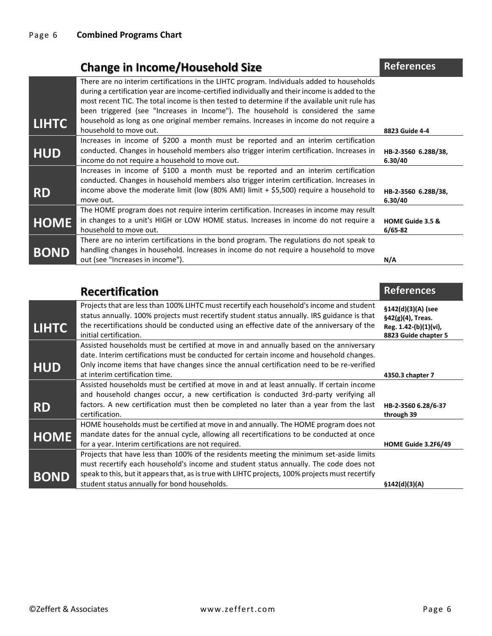## **Change in Income/Household Size References**

| There are no interim certifications in the LIHTC program. Individuals added to households<br>during a certification year are income-certified individually and their income is added to the<br>most recent TIC. The total income is then tested to determine if the available unit rule has |                                                  |
|---------------------------------------------------------------------------------------------------------------------------------------------------------------------------------------------------------------------------------------------------------------------------------------------|--------------------------------------------------|
| been triggered (see "Increases in Income"). The household is considered the same                                                                                                                                                                                                            |                                                  |
| household as long as one original member remains. Increases in income do not require a                                                                                                                                                                                                      |                                                  |
|                                                                                                                                                                                                                                                                                             | 8823 Guide 4-4                                   |
| Increases in income of \$200 a month must be reported and an interim certification                                                                                                                                                                                                          |                                                  |
| conducted. Changes in household members also trigger interim certification. Increases in<br>income do not require a household to move out.                                                                                                                                                  | HB-2-3560 6.28B/38,<br>6.30/40                   |
| Increases in income of \$100 a month must be reported and an interim certification<br>conducted. Changes in household members also trigger interim certification. Increases in                                                                                                              |                                                  |
| income above the moderate limit (low (80% AMI) limit + \$5,500) require a household to<br>move out.                                                                                                                                                                                         | HB-2-3560 6.28B/38,<br>6.30/40                   |
| The HOME program does not require interim certification. Increases in income may result                                                                                                                                                                                                     |                                                  |
| in changes to a unit's HIGH or LOW HOME status. Increases in income do not require a                                                                                                                                                                                                        | HOME Guide 3.5 &                                 |
|                                                                                                                                                                                                                                                                                             | $6/65 - 82$                                      |
| There are no interim certifications in the bond program. The regulations do not speak to                                                                                                                                                                                                    |                                                  |
| handling changes in household. Increases in income do not require a household to move                                                                                                                                                                                                       |                                                  |
| out (see "Increases in income").                                                                                                                                                                                                                                                            | N/A                                              |
|                                                                                                                                                                                                                                                                                             | household to move out.<br>household to move out. |

|              | <b>Recertification</b>                                                                                                                                                                                                                                                                                           | <b>References</b>                                                                        |
|--------------|------------------------------------------------------------------------------------------------------------------------------------------------------------------------------------------------------------------------------------------------------------------------------------------------------------------|------------------------------------------------------------------------------------------|
| <b>LIHTC</b> | Projects that are less than 100% LIHTC must recertify each household's income and student<br>status annually. 100% projects must recertify student status annually. IRS guidance is that<br>the recertifications should be conducted using an effective date of the anniversary of the<br>initial certification. | §142(d)(3)(A) (see<br>§42(g)(4), Treas.<br>Reg. 1.42-(b)(1)(vi),<br>8823 Guide chapter 5 |
| <b>HUD</b>   | Assisted households must be certified at move in and annually based on the anniversary<br>date. Interim certifications must be conducted for certain income and household changes.<br>Only income items that have changes since the annual certification need to be re-verified                                  |                                                                                          |
|              | at interim certification time.<br>Assisted households must be certified at move in and at least annually. If certain income                                                                                                                                                                                      | 4350.3 chapter 7                                                                         |
|              | and household changes occur, a new certification is conducted 3rd-party verifying all                                                                                                                                                                                                                            |                                                                                          |
| <b>RD</b>    | factors. A new certification must then be completed no later than a year from the last<br>certification.                                                                                                                                                                                                         | HB-2-3560 6.28/6-37<br>through 39                                                        |
| <b>HOME</b>  | HOME households must be certified at move in and annually. The HOME program does not<br>mandate dates for the annual cycle, allowing all recertifications to be conducted at once<br>for a year. Interim certifications are not required.                                                                        | HOME Guide 3.2F6/49                                                                      |
|              | Projects that have less than 100% of the residents meeting the minimum set-aside limits                                                                                                                                                                                                                          |                                                                                          |
| <b>BOND</b>  | must recertify each household's income and student status annually. The code does not<br>speak to this, but it appears that, as is true with LIHTC projects, 100% projects must recertify<br>student status annually for bond households.                                                                        | \$142(d)(3)(A)                                                                           |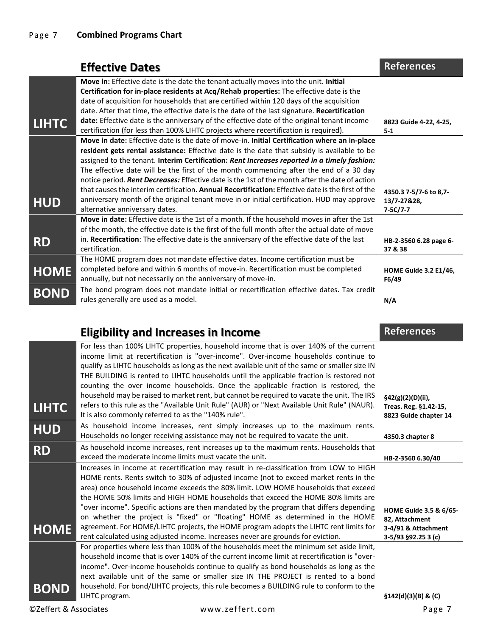|              | <b>Effective Dates</b>                                                                            | <b>References</b>            |
|--------------|---------------------------------------------------------------------------------------------------|------------------------------|
|              | Move in: Effective date is the date the tenant actually moves into the unit. Initial              |                              |
|              | Certification for in-place residents at Acq/Rehab properties: The effective date is the           |                              |
|              | date of acquisition for households that are certified within 120 days of the acquisition          |                              |
|              | date. After that time, the effective date is the date of the last signature. Recertification      |                              |
| <b>LIHTC</b> | date: Effective date is the anniversary of the effective date of the original tenant income       | 8823 Guide 4-22, 4-25,       |
|              | certification (for less than 100% LIHTC projects where recertification is required).              | $5 - 1$                      |
|              | Move in date: Effective date is the date of move-in. Initial Certification where an in-place      |                              |
|              | resident gets rental assistance: Effective date is the date that subsidy is available to be       |                              |
|              | assigned to the tenant. Interim Certification: Rent Increases reported in a timely fashion:       |                              |
|              | The effective date will be the first of the month commencing after the end of a 30 day            |                              |
|              | notice period. Rent Decreases: Effective date is the 1st of the month after the date of action    |                              |
|              | that causes the interim certification. Annual Recertification: Effective date is the first of the | 4350.3 7-5/7-6 to 8,7-       |
| <b>HUD</b>   | anniversary month of the original tenant move in or initial certification. HUD may approve        | 13/7-27&28,                  |
|              | alternative anniversary dates.                                                                    | $7 - 5C/7 - 7$               |
|              | Move in date: Effective date is the 1st of a month. If the household moves in after the 1st       |                              |
|              | of the month, the effective date is the first of the full month after the actual date of move     |                              |
| <b>RD</b>    | in. Recertification: The effective date is the anniversary of the effective date of the last      | HB-2-3560 6.28 page 6-       |
|              | certification.                                                                                    | 37 & 38                      |
|              | The HOME program does not mandate effective dates. Income certification must be                   |                              |
| <b>HOME</b>  | completed before and within 6 months of move-in. Recertification must be completed                | <b>HOME Guide 3.2 E1/46,</b> |
|              | annually, but not necessarily on the anniversary of move-in.                                      | F6/49                        |
| <b>BOND</b>  | The bond program does not mandate initial or recertification effective dates. Tax credit          |                              |
|              | rules generally are used as a model.                                                              | N/A                          |

|                       | <b>Eligibility and Increases in Income</b>                                                                                                                                                                                                                                                                                                                                                                                                                                                                                                                                                                                                                                                                             | <b>References</b>                                                                      |
|-----------------------|------------------------------------------------------------------------------------------------------------------------------------------------------------------------------------------------------------------------------------------------------------------------------------------------------------------------------------------------------------------------------------------------------------------------------------------------------------------------------------------------------------------------------------------------------------------------------------------------------------------------------------------------------------------------------------------------------------------------|----------------------------------------------------------------------------------------|
| <b>LIHTC</b>          | For less than 100% LIHTC properties, household income that is over 140% of the current<br>income limit at recertification is "over-income". Over-income households continue to<br>qualify as LIHTC households as long as the next available unit of the same or smaller size IN<br>THE BUILDING is rented to LIHTC households until the applicable fraction is restored not<br>counting the over income households. Once the applicable fraction is restored, the<br>household may be raised to market rent, but cannot be required to vacate the unit. The IRS<br>refers to this rule as the "Available Unit Rule" (AUR) or "Next Available Unit Rule" (NAUR).<br>It is also commonly referred to as the "140% rule". | §42(g)(2)(D)(ii),<br>Treas. Reg. §1.42-15,<br>8823 Guide chapter 14                    |
| <b>HUD</b>            | As household income increases, rent simply increases up to the maximum rents.<br>Households no longer receiving assistance may not be required to vacate the unit.                                                                                                                                                                                                                                                                                                                                                                                                                                                                                                                                                     | 4350.3 chapter 8                                                                       |
| <b>RD</b>             | As household income increases, rent increases up to the maximum rents. Households that<br>exceed the moderate income limits must vacate the unit.                                                                                                                                                                                                                                                                                                                                                                                                                                                                                                                                                                      | HB-2-3560 6.30/40                                                                      |
| <b>HOME</b>           | Increases in income at recertification may result in re-classification from LOW to HIGH<br>HOME rents. Rents switch to 30% of adjusted income (not to exceed market rents in the<br>area) once household income exceeds the 80% limit. LOW HOME households that exceed<br>the HOME 50% limits and HIGH HOME households that exceed the HOME 80% limits are<br>"over income". Specific actions are then mandated by the program that differs depending<br>on whether the project is "fixed" or "floating" HOME as determined in the HOME<br>agreement. For HOME/LIHTC projects, the HOME program adopts the LIHTC rent limits for<br>rent calculated using adjusted income. Increases never are grounds for eviction.   | HOME Guide 3.5 & 6/65-<br>82, Attachment<br>3-4/91 & Attachment<br>3-5/93 §92.25 3 (c) |
| <b>BOND</b>           | For properties where less than 100% of the households meet the minimum set aside limit,<br>household income that is over 140% of the current income limit at recertification is "over-<br>income". Over-income households continue to qualify as bond households as long as the<br>next available unit of the same or smaller size IN THE PROJECT is rented to a bond<br>household. For bond/LIHTC projects, this rule becomes a BUILDING rule to conform to the<br>LIHTC program.                                                                                                                                                                                                                                     | \$142(d)(3)(B) & (C)                                                                   |
| ©Zeffert & Associates | www.zeffert.com                                                                                                                                                                                                                                                                                                                                                                                                                                                                                                                                                                                                                                                                                                        | Page 7                                                                                 |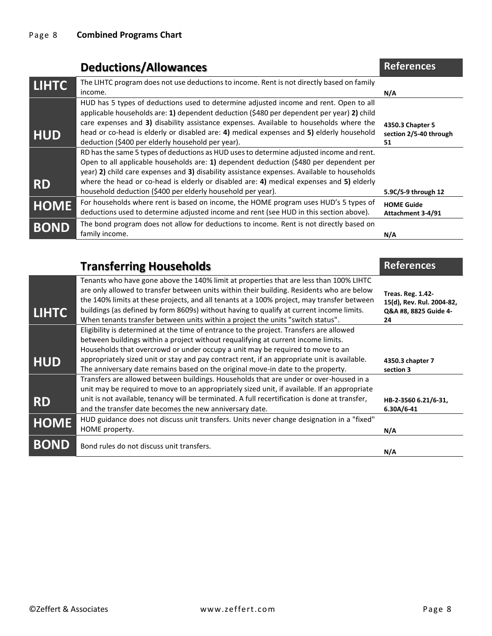|              | <b>Deductions/Allowances</b>                                                                                                                                                                                                                                                                                                                                                                                                                 | <b>References</b>                                |
|--------------|----------------------------------------------------------------------------------------------------------------------------------------------------------------------------------------------------------------------------------------------------------------------------------------------------------------------------------------------------------------------------------------------------------------------------------------------|--------------------------------------------------|
| <b>LIHTC</b> | The LIHTC program does not use deductions to income. Rent is not directly based on family<br>income.                                                                                                                                                                                                                                                                                                                                         | N/A                                              |
| <b>HUD</b>   | HUD has 5 types of deductions used to determine adjusted income and rent. Open to all<br>applicable households are: 1) dependent deduction (\$480 per dependent per year) 2) child<br>care expenses and 3) disability assistance expenses. Available to households where the<br>head or co-head is elderly or disabled are: 4) medical expenses and 5) elderly household<br>deduction (\$400 per elderly household per year).                | 4350.3 Chapter 5<br>section 2/5-40 through<br>51 |
| <b>RD</b>    | RD has the same 5 types of deductions as HUD uses to determine adjusted income and rent.<br>Open to all applicable households are: 1) dependent deduction (\$480 per dependent per<br>year) 2) child care expenses and 3) disability assistance expenses. Available to households<br>where the head or co-head is elderly or disabled are: 4) medical expenses and 5) elderly<br>household deduction (\$400 per elderly household per year). | 5.9C/5-9 through 12                              |
| <b>HOME</b>  | For households where rent is based on income, the HOME program uses HUD's 5 types of<br>deductions used to determine adjusted income and rent (see HUD in this section above).                                                                                                                                                                                                                                                               | <b>HOME Guide</b><br>Attachment 3-4/91           |
| <b>BOND</b>  | The bond program does not allow for deductions to income. Rent is not directly based on<br>family income.                                                                                                                                                                                                                                                                                                                                    | N/A                                              |

|              | <b>Transferring Households</b>                                                                                                                                                                                                                                                                                                                                                                                                                                   | <b>References</b>                                                                    |
|--------------|------------------------------------------------------------------------------------------------------------------------------------------------------------------------------------------------------------------------------------------------------------------------------------------------------------------------------------------------------------------------------------------------------------------------------------------------------------------|--------------------------------------------------------------------------------------|
| <b>LIHTC</b> | Tenants who have gone above the 140% limit at properties that are less than 100% LIHTC<br>are only allowed to transfer between units within their building. Residents who are below<br>the 140% limits at these projects, and all tenants at a 100% project, may transfer between<br>buildings (as defined by form 8609s) without having to qualify at current income limits.<br>When tenants transfer between units within a project the units "switch status". | <b>Treas. Reg. 1.42-</b><br>15(d), Rev. Rul. 2004-82,<br>Q&A #8, 8825 Guide 4-<br>24 |
| <b>HUD</b>   | Eligibility is determined at the time of entrance to the project. Transfers are allowed<br>between buildings within a project without requalifying at current income limits.<br>Households that overcrowd or under occupy a unit may be required to move to an<br>appropriately sized unit or stay and pay contract rent, if an appropriate unit is available.<br>The anniversary date remains based on the original move-in date to the property.               | 4350.3 chapter 7<br>section 3                                                        |
| <b>RD</b>    | Transfers are allowed between buildings. Households that are under or over-housed in a<br>unit may be required to move to an appropriately sized unit, if available. If an appropriate<br>unit is not available, tenancy will be terminated. A full recertification is done at transfer,<br>and the transfer date becomes the new anniversary date.                                                                                                              | HB-2-3560 6.21/6-31,<br>$6.30A/6-41$                                                 |
| <b>HOME</b>  | HUD guidance does not discuss unit transfers. Units never change designation in a "fixed"<br>HOME property.                                                                                                                                                                                                                                                                                                                                                      | N/A                                                                                  |
| <b>BOND</b>  | Bond rules do not discuss unit transfers.                                                                                                                                                                                                                                                                                                                                                                                                                        | N/A                                                                                  |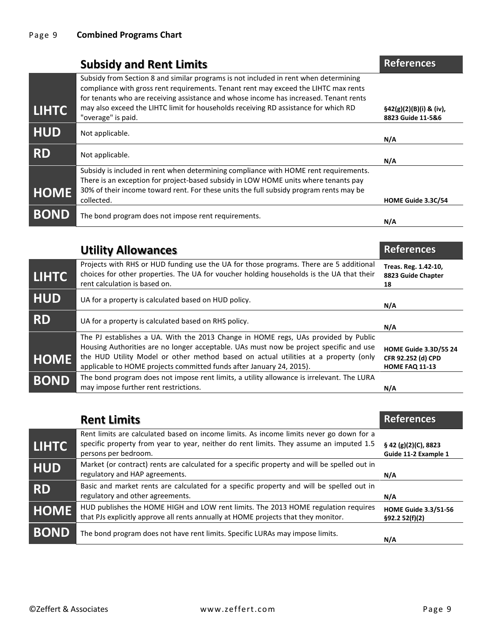|              | <b>Subsidy and Rent Limits</b>                                                                                                                                                                                                                                                                                                                                                    | <b>References</b>                                      |
|--------------|-----------------------------------------------------------------------------------------------------------------------------------------------------------------------------------------------------------------------------------------------------------------------------------------------------------------------------------------------------------------------------------|--------------------------------------------------------|
| <b>LIHTC</b> | Subsidy from Section 8 and similar programs is not included in rent when determining<br>compliance with gross rent requirements. Tenant rent may exceed the LIHTC max rents<br>for tenants who are receiving assistance and whose income has increased. Tenant rents<br>may also exceed the LIHTC limit for households receiving RD assistance for which RD<br>"overage" is paid. | $\frac{542(g)(2)(B)(i)}{8(g)(i)}$<br>8823 Guide 11-5&6 |
| <b>HUD</b>   | Not applicable.                                                                                                                                                                                                                                                                                                                                                                   | N/A                                                    |
| <b>RD</b>    | Not applicable.                                                                                                                                                                                                                                                                                                                                                                   | N/A                                                    |
| <b>HOME</b>  | Subsidy is included in rent when determining compliance with HOME rent requirements.<br>There is an exception for project-based subsidy in LOW HOME units where tenants pay<br>30% of their income toward rent. For these units the full subsidy program rents may be<br>collected.                                                                                               | HOME Guide 3.3C/54                                     |
| <b>BOND</b>  | The bond program does not impose rent requirements.                                                                                                                                                                                                                                                                                                                               | N/A                                                    |
|              | aancwallA vtilitl                                                                                                                                                                                                                                                                                                                                                                 | <b>References</b>                                      |

|              | <b>UTHILA HILOWATICES</b>                                                                                                                                                                                                                                                                                                                   | ngigigi uga                                                                 |
|--------------|---------------------------------------------------------------------------------------------------------------------------------------------------------------------------------------------------------------------------------------------------------------------------------------------------------------------------------------------|-----------------------------------------------------------------------------|
| <b>LIHTC</b> | Projects with RHS or HUD funding use the UA for those programs. There are 5 additional<br>choices for other properties. The UA for voucher holding households is the UA that their<br>rent calculation is based on.                                                                                                                         | Treas. Reg. 1.42-10,<br>8823 Guide Chapter<br>18                            |
| <b>HUD</b>   | UA for a property is calculated based on HUD policy.                                                                                                                                                                                                                                                                                        | N/A                                                                         |
| <b>RD</b>    | UA for a property is calculated based on RHS policy.                                                                                                                                                                                                                                                                                        | N/A                                                                         |
| <b>HOME</b>  | The PJ establishes a UA. With the 2013 Change in HOME regs, UAs provided by Public<br>Housing Authorities are no longer acceptable. UAs must now be project specific and use<br>the HUD Utility Model or other method based on actual utilities at a property (only<br>applicable to HOME projects committed funds after January 24, 2015). | <b>HOME Guide 3.3D/55 24</b><br>CFR 92.252 (d) CPD<br><b>HOME FAQ 11-13</b> |
| <b>BOND</b>  | The bond program does not impose rent limits, a utility allowance is irrelevant. The LURA<br>may impose further rent restrictions.                                                                                                                                                                                                          | N/A                                                                         |

|              | <b>Rent Limits</b>                                                                                                                                                                                         | <b>References</b>                            |
|--------------|------------------------------------------------------------------------------------------------------------------------------------------------------------------------------------------------------------|----------------------------------------------|
| <b>LIHTC</b> | Rent limits are calculated based on income limits. As income limits never go down for a<br>specific property from year to year, neither do rent limits. They assume an imputed 1.5<br>persons per bedroom. | § 42 (g)(2)(C), 8823<br>Guide 11-2 Example 1 |
| <b>HUD</b>   | Market (or contract) rents are calculated for a specific property and will be spelled out in<br>regulatory and HAP agreements.                                                                             | N/A                                          |
| <b>RD</b>    | Basic and market rents are calculated for a specific property and will be spelled out in<br>regulatory and other agreements.                                                                               | N/A                                          |
| <b>HOME</b>  | HUD publishes the HOME HIGH and LOW rent limits. The 2013 HOME regulation requires<br>that PJs explicitly approve all rents annually at HOME projects that they monitor.                                   | <b>HOME Guide 3.3/51-56</b><br>§92.252(f)(2) |
| <b>BOND</b>  | The bond program does not have rent limits. Specific LURAs may impose limits.                                                                                                                              | N/A                                          |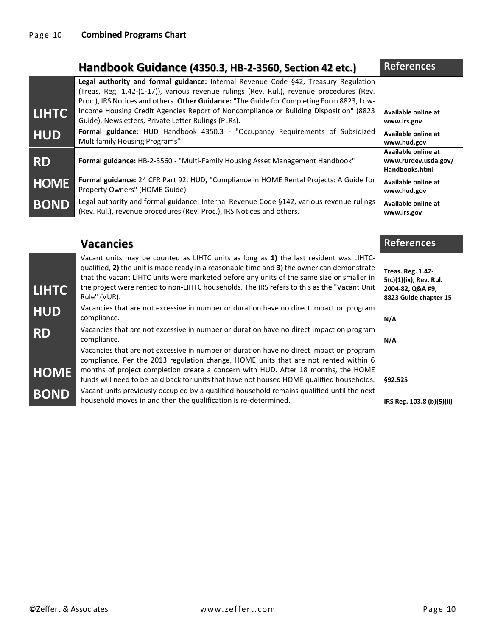#### **Handbook Guidance (4350.3, HB-2-3560, Section 42 etc.) References**

|              | Legal authority and formal guidance: Internal Revenue Code §42, Treasury Regulation<br>(Treas. Reg. 1.42-(1-17)), various revenue rulings (Rev. Rul.), revenue procedures (Rev.<br>Proc.), IRS Notices and others. Other Guidance: "The Guide for Completing Form 8823, Low- |                                                               |
|--------------|------------------------------------------------------------------------------------------------------------------------------------------------------------------------------------------------------------------------------------------------------------------------------|---------------------------------------------------------------|
| <b>LIHTC</b> | Income Housing Credit Agencies Report of Noncompliance or Building Disposition" (8823<br>Guide). Newsletters, Private Letter Rulings (PLRs).                                                                                                                                 | Available online at<br>www.irs.gov                            |
| <b>HUD</b>   | Formal guidance: HUD Handbook 4350.3 - "Occupancy Requirements of Subsidized<br><b>Multifamily Housing Programs"</b>                                                                                                                                                         | Available online at<br>www.hud.gov                            |
| <b>RD</b>    | <b>Formal guidance:</b> HB-2-3560 - "Multi-Family Housing Asset Management Handbook"                                                                                                                                                                                         | Available online at<br>www.rurdev.usda.gov/<br>Handbooks.html |
| <b>HOME</b>  | Formal guidance: 24 CFR Part 92. HUD, "Compliance in HOME Rental Projects: A Guide for<br>Property Owners" (HOME Guide)                                                                                                                                                      | Available online at<br>www.hud.gov                            |
| <b>BOND</b>  | Legal authority and formal guidance: Internal Revenue Code §142, various revenue rulings<br>(Rev. Rul.), revenue procedures (Rev. Proc.), IRS Notices and others.                                                                                                            | Available online at<br>www.irs.gov                            |

# **Vacancies References References** Vacant units may be counted as LIHTC units as long as **1)** the last resident was LIHTC-

| <b>LIHTC</b> | qualified, 2) the unit is made ready in a reasonable time and 3) the owner can demonstrate<br>that the vacant LIHTC units were marketed before any units of the same size or smaller in<br>the project were rented to non-LIHTC households. The IRS refers to this as the "Vacant Unit"<br>Rule" (VUR).                                                          | <b>Treas. Reg. 1.42-</b><br>5(c)(1)(ix), Rev. Rul.<br>2004-82, Q&A #9,<br>8823 Guide chapter 15 |
|--------------|------------------------------------------------------------------------------------------------------------------------------------------------------------------------------------------------------------------------------------------------------------------------------------------------------------------------------------------------------------------|-------------------------------------------------------------------------------------------------|
| <b>HUD</b>   | Vacancies that are not excessive in number or duration have no direct impact on program<br>compliance.                                                                                                                                                                                                                                                           | N/A                                                                                             |
| <b>RD</b>    | Vacancies that are not excessive in number or duration have no direct impact on program<br>compliance.                                                                                                                                                                                                                                                           | N/A                                                                                             |
| <b>HOME</b>  | Vacancies that are not excessive in number or duration have no direct impact on program<br>compliance. Per the 2013 regulation change, HOME units that are not rented within 6<br>months of project completion create a concern with HUD. After 18 months, the HOME<br>funds will need to be paid back for units that have not housed HOME qualified households. | \$92.525                                                                                        |
| <b>BOND</b>  | Vacant units previously occupied by a qualified household remains qualified until the next<br>household moves in and then the qualification is re-determined.                                                                                                                                                                                                    | IRS Reg. 103.8 (b)(5)(ii)                                                                       |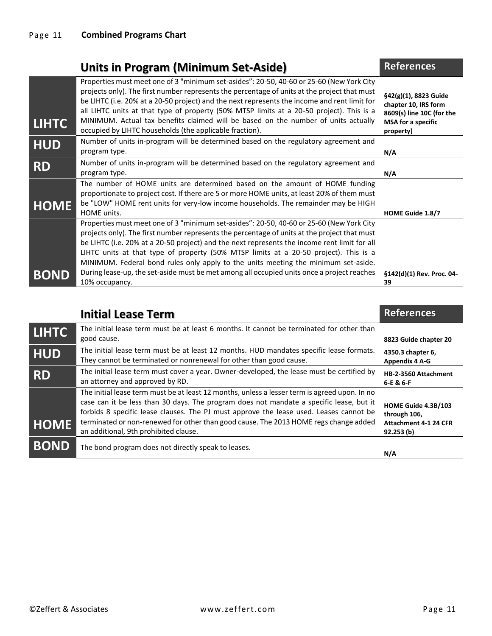|              | <b>Units in Program (Minimum Set-Aside)</b>                                                                                                                                                                                                                                                                                                                                                                                                                                                                                                                                            | <b>References</b>                                                                                                        |
|--------------|----------------------------------------------------------------------------------------------------------------------------------------------------------------------------------------------------------------------------------------------------------------------------------------------------------------------------------------------------------------------------------------------------------------------------------------------------------------------------------------------------------------------------------------------------------------------------------------|--------------------------------------------------------------------------------------------------------------------------|
| <b>LIHTC</b> | Properties must meet one of 3 "minimum set-asides": 20-50, 40-60 or 25-60 (New York City<br>projects only). The first number represents the percentage of units at the project that must<br>be LIHTC (i.e. 20% at a 20-50 project) and the next represents the income and rent limit for<br>all LIHTC units at that type of property (50% MTSP limits at a 20-50 project). This is a<br>MINIMUM. Actual tax benefits claimed will be based on the number of units actually<br>occupied by LIHTC households (the applicable fraction).                                                  | $\S42(g)(1)$ , 8823 Guide<br>chapter 10, IRS form<br>8609(s) line 10C (for the<br><b>MSA</b> for a specific<br>property) |
| <b>HUD</b>   | Number of units in-program will be determined based on the regulatory agreement and<br>program type.                                                                                                                                                                                                                                                                                                                                                                                                                                                                                   | N/A                                                                                                                      |
| <b>RD</b>    | Number of units in-program will be determined based on the regulatory agreement and<br>program type.                                                                                                                                                                                                                                                                                                                                                                                                                                                                                   | N/A                                                                                                                      |
| <b>HOME</b>  | The number of HOME units are determined based on the amount of HOME funding<br>proportionate to project cost. If there are 5 or more HOME units, at least 20% of them must<br>be "LOW" HOME rent units for very-low income households. The remainder may be HIGH<br><b>HOME</b> units.                                                                                                                                                                                                                                                                                                 | <b>HOME Guide 1.8/7</b>                                                                                                  |
| <b>BOND</b>  | Properties must meet one of 3 "minimum set-asides": 20-50, 40-60 or 25-60 (New York City<br>projects only). The first number represents the percentage of units at the project that must<br>be LIHTC (i.e. 20% at a 20-50 project) and the next represents the income rent limit for all<br>LIHTC units at that type of property (50% MTSP limits at a 20-50 project). This is a<br>MINIMUM. Federal bond rules only apply to the units meeting the minimum set-aside.<br>During lease-up, the set-aside must be met among all occupied units once a project reaches<br>10% occupancy. | §142(d)(1) Rev. Proc. 04-<br>39                                                                                          |

|              | <b>Initial Lease Term</b>                                                                                                                                                                                                                                                                                                                                                                                           | <b>References</b>                                                                |
|--------------|---------------------------------------------------------------------------------------------------------------------------------------------------------------------------------------------------------------------------------------------------------------------------------------------------------------------------------------------------------------------------------------------------------------------|----------------------------------------------------------------------------------|
| <b>LIHTC</b> | The initial lease term must be at least 6 months. It cannot be terminated for other than<br>good cause.                                                                                                                                                                                                                                                                                                             | 8823 Guide chapter 20                                                            |
| <b>HUD</b>   | The initial lease term must be at least 12 months. HUD mandates specific lease formats.<br>They cannot be terminated or nonrenewal for other than good cause.                                                                                                                                                                                                                                                       | 4350.3 chapter 6,<br><b>Appendix 4 A-G</b>                                       |
| <b>RD</b>    | The initial lease term must cover a year. Owner-developed, the lease must be certified by<br>an attorney and approved by RD.                                                                                                                                                                                                                                                                                        | HB-2-3560 Attachment<br>6-E & 6-F                                                |
| <b>HOME</b>  | The initial lease term must be at least 12 months, unless a lesser term is agreed upon. In no<br>case can it be less than 30 days. The program does not mandate a specific lease, but it<br>forbids 8 specific lease clauses. The PJ must approve the lease used. Leases cannot be<br>terminated or non-renewed for other than good cause. The 2013 HOME regs change added<br>an additional, 9th prohibited clause. | HOME Guide 4.3B/103<br>through 106,<br><b>Attachment 4-1 24 CFR</b><br>92.253(b) |
| <b>BOND</b>  | The bond program does not directly speak to leases.                                                                                                                                                                                                                                                                                                                                                                 | N/A                                                                              |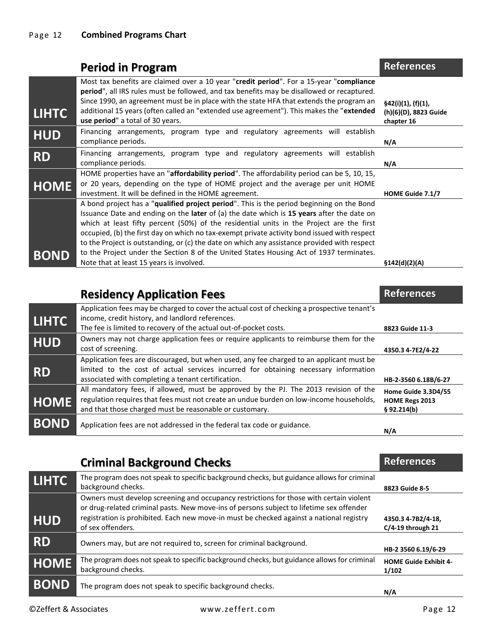|              | <b>Period in Program</b>                                                                                                                                                                                                                                                                                                                                                                                                                                                                                                                                                             | <b>References</b>                                         |
|--------------|--------------------------------------------------------------------------------------------------------------------------------------------------------------------------------------------------------------------------------------------------------------------------------------------------------------------------------------------------------------------------------------------------------------------------------------------------------------------------------------------------------------------------------------------------------------------------------------|-----------------------------------------------------------|
| <b>LIHTC</b> | Most tax benefits are claimed over a 10 year "credit period". For a 15-year "compliance"<br>period", all IRS rules must be followed, and tax benefits may be disallowed or recaptured.<br>Since 1990, an agreement must be in place with the state HFA that extends the program an<br>additional 15 years (often called an "extended use agreement"). This makes the "extended<br>use period" a total of 30 years.                                                                                                                                                                   | §42(i)(1), (f)(1),<br>(h)(6)(D), 8823 Guide<br>chapter 16 |
| <b>HUD</b>   | Financing arrangements, program type and regulatory agreements will establish<br>compliance periods.                                                                                                                                                                                                                                                                                                                                                                                                                                                                                 | N/A                                                       |
| <b>RD</b>    | Financing arrangements, program type and regulatory agreements will establish<br>compliance periods.                                                                                                                                                                                                                                                                                                                                                                                                                                                                                 | N/A                                                       |
| <b>HOME</b>  | HOME properties have an "affordability period". The affordability period can be 5, 10, 15,<br>or 20 years, depending on the type of HOME project and the average per unit HOME<br>investment. It will be defined in the HOME agreement.                                                                                                                                                                                                                                                                                                                                              | HOME Guide 7.1/7                                          |
| <b>BOND</b>  | A bond project has a "qualified project period". This is the period beginning on the Bond<br>Issuance Date and ending on the <b>later</b> of (a) the date which is 15 years after the date on<br>which at least fifty percent (50%) of the residential units in the Project are the first<br>occupied, (b) the first day on which no tax-exempt private activity bond issued with respect<br>to the Project is outstanding, or (c) the date on which any assistance provided with respect<br>to the Project under the Section 8 of the United States Housing Act of 1937 terminates. |                                                           |
|              | Note that at least 15 years is involved.                                                                                                                                                                                                                                                                                                                                                                                                                                                                                                                                             | \$142(d)(2)(A)                                            |

|              | <b>Residency Application Fees</b>                                                                                                                                                                                                          | <b>References</b>                                    |
|--------------|--------------------------------------------------------------------------------------------------------------------------------------------------------------------------------------------------------------------------------------------|------------------------------------------------------|
| <b>LIHTC</b> | Application fees may be charged to cover the actual cost of checking a prospective tenant's<br>income, credit history, and landlord references.<br>The fee is limited to recovery of the actual out-of-pocket costs.                       | 8823 Guide 11-3                                      |
| <b>HUD</b>   | Owners may not charge application fees or require applicants to reimburse them for the<br>cost of screening.                                                                                                                               | 4350.3 4-7E2/4-22                                    |
| <b>RD</b>    | Application fees are discouraged, but when used, any fee charged to an applicant must be<br>limited to the cost of actual services incurred for obtaining necessary information<br>associated with completing a tenant certification.      | HB-2-3560 6.18B/6-27                                 |
| <b>HOME</b>  | All mandatory fees, if allowed, must be approved by the PJ. The 2013 revision of the<br>regulation requires that fees must not create an undue burden on low-income households,<br>and that those charged must be reasonable or customary. | Home Guide 3.3D4/55<br>HOME Regs 2013<br>§ 92.214(b) |
| <b>BOND</b>  | Application fees are not addressed in the federal tax code or guidance.                                                                                                                                                                    | N/A                                                  |

|              | <b>Criminal Background Checks</b>                                                                                                                                                                                                                                                                    | <b>References</b>                         |
|--------------|------------------------------------------------------------------------------------------------------------------------------------------------------------------------------------------------------------------------------------------------------------------------------------------------------|-------------------------------------------|
| <b>LIHTC</b> | The program does not speak to specific background checks, but guidance allows for criminal<br>background checks.                                                                                                                                                                                     | 8823 Guide 8-5                            |
| <b>HUD</b>   | Owners must develop screening and occupancy restrictions for those with certain violent<br>or drug-related criminal pasts. New move-ins of persons subject to lifetime sex offender<br>registration is prohibited. Each new move-in must be checked against a national registry<br>of sex offenders. | 4350.3 4-7B2/4-18,<br>$C/4-19$ through 21 |
| <b>RD</b>    | Owners may, but are not required to, screen for criminal background.                                                                                                                                                                                                                                 | HB-2 3560 6.19/6-29                       |
| <b>HOME</b>  | The program does not speak to specific background checks, but guidance allows for criminal<br>background checks.                                                                                                                                                                                     | <b>HOME Guide Exhibit 4-</b><br>1/102     |
| <b>BOND</b>  | The program does not speak to specific background checks.                                                                                                                                                                                                                                            | N/A                                       |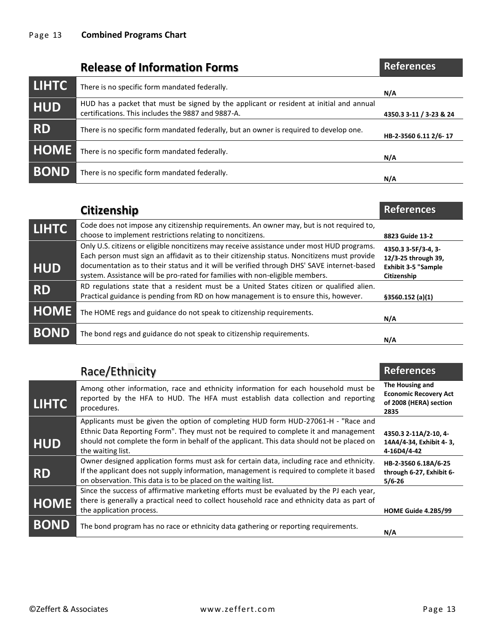|              | <b>Release of Information Forms</b>                                                                                                           | <b>References</b>       |
|--------------|-----------------------------------------------------------------------------------------------------------------------------------------------|-------------------------|
| <b>LIHTC</b> | There is no specific form mandated federally.                                                                                                 | N/A                     |
| <b>HUD</b>   | HUD has a packet that must be signed by the applicant or resident at initial and annual<br>certifications. This includes the 9887 and 9887-A. | 4350.3 3-11 / 3-23 & 24 |
| <b>RD</b>    | There is no specific form mandated federally, but an owner is required to develop one.                                                        | HB-2-3560 6.11 2/6-17   |
| <b>HOME</b>  | There is no specific form mandated federally.                                                                                                 | N/A                     |
| <b>BOND</b>  | There is no specific form mandated federally.                                                                                                 | N/A                     |

|              | <b>Citizenship</b>                                                                                                                                                                                                                                                                                                                                                     | <b>References</b>                                                                       |
|--------------|------------------------------------------------------------------------------------------------------------------------------------------------------------------------------------------------------------------------------------------------------------------------------------------------------------------------------------------------------------------------|-----------------------------------------------------------------------------------------|
| <b>LIHTC</b> | Code does not impose any citizenship requirements. An owner may, but is not required to,<br>choose to implement restrictions relating to noncitizens.                                                                                                                                                                                                                  | 8823 Guide 13-2                                                                         |
| <b>HUD</b>   | Only U.S. citizens or eligible noncitizens may receive assistance under most HUD programs.<br>Each person must sign an affidavit as to their citizenship status. Noncitizens must provide<br>documentation as to their status and it will be verified through DHS' SAVE internet-based<br>system. Assistance will be pro-rated for families with non-eligible members. | 4350.3 3-5F/3-4, 3-<br>12/3-25 through 39,<br><b>Exhibit 3-5 "Sample</b><br>Citizenship |
| <b>RD</b>    | RD regulations state that a resident must be a United States citizen or qualified alien.<br>Practical guidance is pending from RD on how management is to ensure this, however.                                                                                                                                                                                        | §3560.152(a)(1)                                                                         |
| <b>HOME</b>  | The HOME regs and guidance do not speak to citizenship requirements.                                                                                                                                                                                                                                                                                                   | N/A                                                                                     |
| <b>BOND</b>  | The bond regs and guidance do not speak to citizenship requirements.                                                                                                                                                                                                                                                                                                   | N/A                                                                                     |

|              | Race/Ethnicity                                                                                                                                                                                                                                                                                | <b>References</b>                                                                 |
|--------------|-----------------------------------------------------------------------------------------------------------------------------------------------------------------------------------------------------------------------------------------------------------------------------------------------|-----------------------------------------------------------------------------------|
| <b>LIHTC</b> | Among other information, race and ethnicity information for each household must be<br>reported by the HFA to HUD. The HFA must establish data collection and reporting<br>procedures.                                                                                                         | The Housing and<br><b>Economic Recovery Act</b><br>of 2008 (HERA) section<br>2835 |
| <b>HUD</b>   | Applicants must be given the option of completing HUD form HUD-27061-H - "Race and<br>Ethnic Data Reporting Form". They must not be required to complete it and management<br>should not complete the form in behalf of the applicant. This data should not be placed on<br>the waiting list. | 4350.3 2-11A/2-10, 4-<br>14A4/4-34, Exhibit 4-3,<br>4-16D4/4-42                   |
| <b>RD</b>    | Owner designed application forms must ask for certain data, including race and ethnicity.<br>If the applicant does not supply information, management is required to complete it based<br>on observation. This data is to be placed on the waiting list.                                      | HB-2-3560 6.18A/6-25<br>through 6-27, Exhibit 6-<br>$5/6 - 26$                    |
| <b>HOME</b>  | Since the success of affirmative marketing efforts must be evaluated by the PJ each year,<br>there is generally a practical need to collect household race and ethnicity data as part of<br>the application process.                                                                          | HOME Guide 4.2B5/99                                                               |
| <b>BOND</b>  | The bond program has no race or ethnicity data gathering or reporting requirements.                                                                                                                                                                                                           | N/A                                                                               |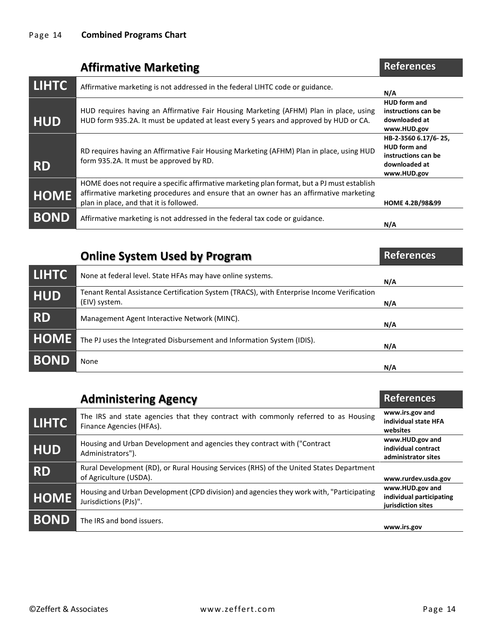|              | <b>Affirmative Marketing</b>                                                                                                                                                                                                     | <b>References</b>                                                                                  |
|--------------|----------------------------------------------------------------------------------------------------------------------------------------------------------------------------------------------------------------------------------|----------------------------------------------------------------------------------------------------|
| <b>LIHTC</b> | Affirmative marketing is not addressed in the federal LIHTC code or guidance.                                                                                                                                                    | N/A                                                                                                |
| <b>HUD</b>   | HUD requires having an Affirmative Fair Housing Marketing (AFHM) Plan in place, using<br>HUD form 935.2A. It must be updated at least every 5 years and approved by HUD or CA.                                                   | <b>HUD</b> form and<br>instructions can be<br>downloaded at<br>www.HUD.gov                         |
| <b>RD</b>    | RD requires having an Affirmative Fair Housing Marketing (AFHM) Plan in place, using HUD<br>form 935.2A. It must be approved by RD.                                                                                              | HB-2-3560 6.17/6-25,<br><b>HUD</b> form and<br>instructions can be<br>downloaded at<br>www.HUD.gov |
| <b>HOME</b>  | HOME does not require a specific affirmative marketing plan format, but a PJ must establish<br>affirmative marketing procedures and ensure that an owner has an affirmative marketing<br>plan in place, and that it is followed. | HOME 4.2B/98&99                                                                                    |
| <b>BOND</b>  | Affirmative marketing is not addressed in the federal tax code or guidance.                                                                                                                                                      | N/A                                                                                                |

|              | <b>Online System Used by Program</b>                                                                        | <b>References</b> |
|--------------|-------------------------------------------------------------------------------------------------------------|-------------------|
| <b>LIHTC</b> | None at federal level. State HFAs may have online systems.                                                  | N/A               |
| <b>HUD</b>   | Tenant Rental Assistance Certification System (TRACS), with Enterprise Income Verification<br>(EIV) system. | N/A               |
| <b>RD</b>    | Management Agent Interactive Network (MINC).                                                                | N/A               |
| <b>HOME</b>  | The PJ uses the Integrated Disbursement and Information System (IDIS).                                      | N/A               |
| <b>BOND</b>  | None                                                                                                        | N/A               |

|              | <b>Administering Agency</b>                                                                                       | <b>References</b>                                                 |
|--------------|-------------------------------------------------------------------------------------------------------------------|-------------------------------------------------------------------|
| <b>LIHTC</b> | The IRS and state agencies that they contract with commonly referred to as Housing<br>Finance Agencies (HFAs).    | www.irs.gov and<br>individual state HFA<br>websites               |
| <b>HUD</b>   | Housing and Urban Development and agencies they contract with ("Contract<br>Administrators").                     | www.HUD.gov and<br>individual contract<br>administrator sites     |
| <b>RD</b>    | Rural Development (RD), or Rural Housing Services (RHS) of the United States Department<br>of Agriculture (USDA). | www.rurdev.usda.gov                                               |
| <b>HOME</b>  | Housing and Urban Development (CPD division) and agencies they work with, "Participating<br>Jurisdictions (PJs)". | www.HUD.gov and<br>individual participating<br>jurisdiction sites |
| <b>BOND</b>  | The IRS and bond issuers.                                                                                         | www.irs.gov                                                       |